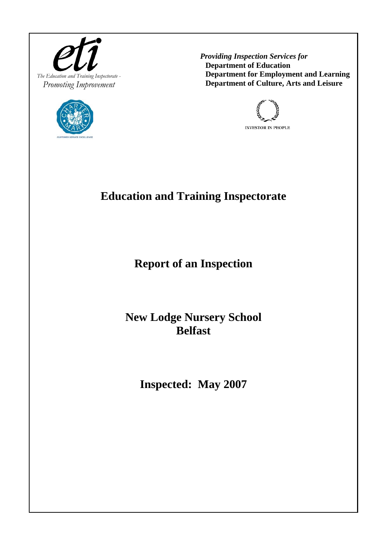



 *Providing Inspection Services for*  **Department of Education Department for Employment and Learning Department of Culture, Arts and Leisure**



# **Education and Training Inspectorate**

**Report of an Inspection** 

**New Lodge Nursery School Belfast** 

**Inspected: May 2007**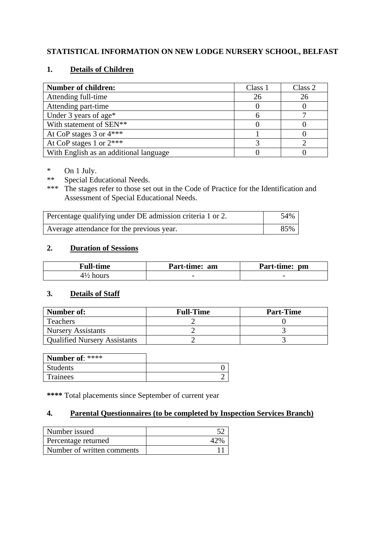# **STATISTICAL INFORMATION ON NEW LODGE NURSERY SCHOOL, BELFAST**

## **1. Details of Children**

| <b>Number of children:</b>             | Class 1 | Class 2 |
|----------------------------------------|---------|---------|
| Attending full-time                    | 26      | 26      |
| Attending part-time                    |         |         |
| Under 3 years of age*                  |         |         |
| With statement of SEN**                |         |         |
| At CoP stages $3$ or $4***$            |         |         |
| At CoP stages 1 or $2***$              |         |         |
| With English as an additional language |         |         |

\* On 1 July.<br>\*\* Special Ed

\*\* Special Educational Needs.<br>\*\*\* The stages refer to those set

The stages refer to those set out in the Code of Practice for the Identification and Assessment of Special Educational Needs.

| Percentage qualifying under DE admission criteria 1 or 2. |     |
|-----------------------------------------------------------|-----|
| Average attendance for the previous year.                 | 85% |

# **2. Duration of Sessions**

| <b>Full-time</b>     | Part-time: am | Part-time: pm            |
|----------------------|---------------|--------------------------|
| $4\frac{1}{2}$ hours |               | $\overline{\phantom{0}}$ |

#### **3. Details of Staff**

| Number of:                          | <b>Full-Time</b> | <b>Part-Time</b> |
|-------------------------------------|------------------|------------------|
| Teachers                            |                  |                  |
| <b>Nursery Assistants</b>           |                  |                  |
| <b>Qualified Nursery Assistants</b> |                  |                  |

| Number of: $***$ |  |
|------------------|--|
| <b>Students</b>  |  |
| Trainees         |  |

**\*\*\*\*** Total placements since September of current year

## **4. Parental Questionnaires (to be completed by Inspection Services Branch)**

| Number issued              |               |
|----------------------------|---------------|
| Percentage returned        | $\Lambda$ 30/ |
| Number of written comments |               |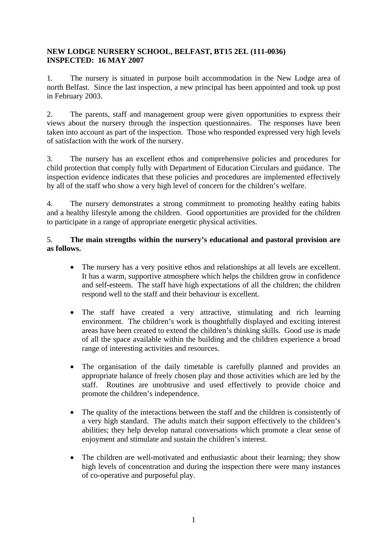#### **NEW LODGE NURSERY SCHOOL, BELFAST, BT15 2EL (111-0036) INSPECTED: 16 MAY 2007**

1. The nursery is situated in purpose built accommodation in the New Lodge area of north Belfast. Since the last inspection, a new principal has been appointed and took up post in February 2003.

2. The parents, staff and management group were given opportunities to express their views about the nursery through the inspection questionnaires. The responses have been taken into account as part of the inspection. Those who responded expressed very high levels of satisfaction with the work of the nursery.

3. The nursery has an excellent ethos and comprehensive policies and procedures for child protection that comply fully with Department of Education Circulars and guidance. The inspection evidence indicates that these policies and procedures are implemented effectively by all of the staff who show a very high level of concern for the children's welfare.

4. The nursery demonstrates a strong commitment to promoting healthy eating habits and a healthy lifestyle among the children. Good opportunities are provided for the children to participate in a range of appropriate energetic physical activities.

## 5. **The main strengths within the nursery's educational and pastoral provision are as follows.**

- The nursery has a very positive ethos and relationships at all levels are excellent. It has a warm, supportive atmosphere which helps the children grow in confidence and self-esteem. The staff have high expectations of all the children; the children respond well to the staff and their behaviour is excellent.
- The staff have created a very attractive, stimulating and rich learning environment. The children's work is thoughtfully displayed and exciting interest areas have been created to extend the children's thinking skills. Good use is made of all the space available within the building and the children experience a broad range of interesting activities and resources.
- The organisation of the daily timetable is carefully planned and provides an appropriate balance of freely chosen play and those activities which are led by the staff. Routines are unobtrusive and used effectively to provide choice and promote the children's independence.
- The quality of the interactions between the staff and the children is consistently of a very high standard. The adults match their support effectively to the children's abilities; they help develop natural conversations which promote a clear sense of enjoyment and stimulate and sustain the children's interest.
- The children are well-motivated and enthusiastic about their learning; they show high levels of concentration and during the inspection there were many instances of co-operative and purposeful play.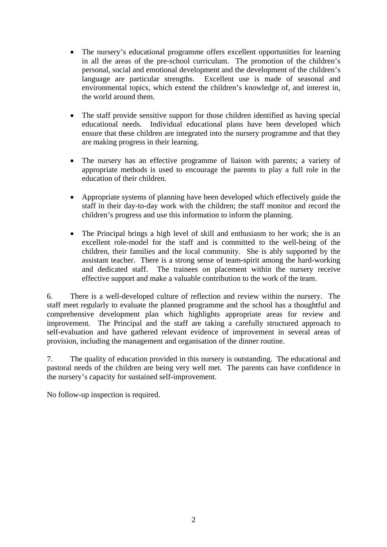- The nursery's educational programme offers excellent opportunities for learning in all the areas of the pre-school curriculum. The promotion of the children's personal, social and emotional development and the development of the children's language are particular strengths. Excellent use is made of seasonal and environmental topics, which extend the children's knowledge of, and interest in, the world around them.
- The staff provide sensitive support for those children identified as having special educational needs. Individual educational plans have been developed which ensure that these children are integrated into the nursery programme and that they are making progress in their learning.
- The nursery has an effective programme of liaison with parents; a variety of appropriate methods is used to encourage the parents to play a full role in the education of their children.
- Appropriate systems of planning have been developed which effectively guide the staff in their day-to-day work with the children; the staff monitor and record the children's progress and use this information to inform the planning.
- The Principal brings a high level of skill and enthusiasm to her work; she is an excellent role-model for the staff and is committed to the well-being of the children, their families and the local community. She is ably supported by the assistant teacher. There is a strong sense of team-spirit among the hard-working and dedicated staff. The trainees on placement within the nursery receive effective support and make a valuable contribution to the work of the team.

6. There is a well-developed culture of reflection and review within the nursery. The staff meet regularly to evaluate the planned programme and the school has a thoughtful and comprehensive development plan which highlights appropriate areas for review and improvement. The Principal and the staff are taking a carefully structured approach to self-evaluation and have gathered relevant evidence of improvement in several areas of provision, including the management and organisation of the dinner routine.

7. The quality of education provided in this nursery is outstanding. The educational and pastoral needs of the children are being very well met. The parents can have confidence in the nursery's capacity for sustained self-improvement.

No follow-up inspection is required.